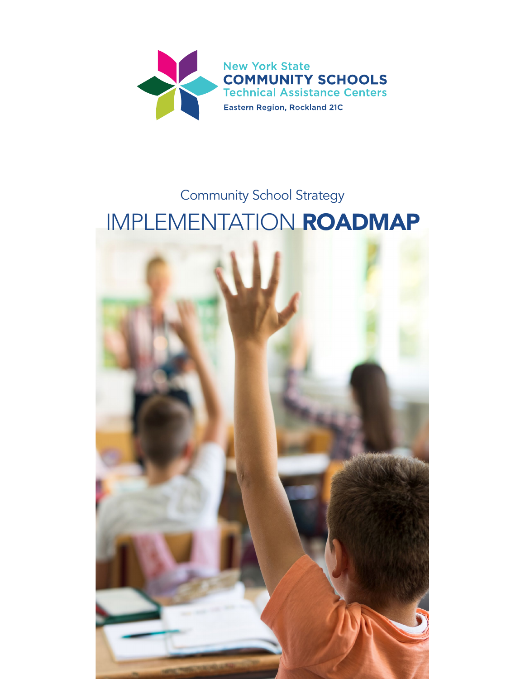

# Community School Strategy IMPLEMENTATION ROADMAP

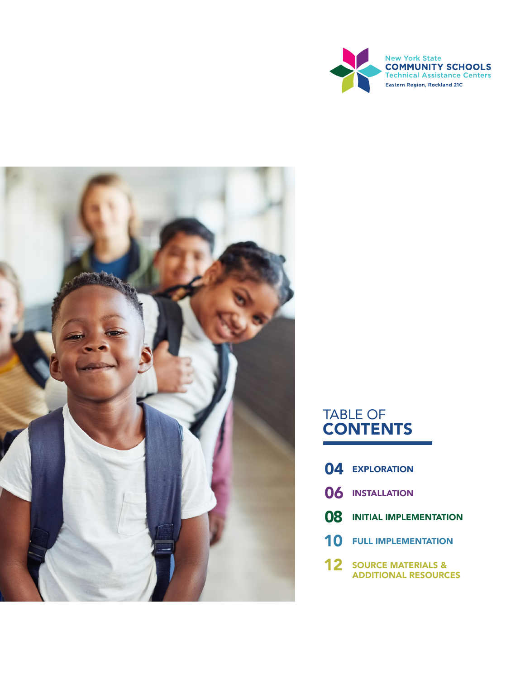



# TABLE OF **CONTENTS**

- 04 [EXPLORATION](#page-3-0)
- 06 [INSTALLATION](#page-5-0)
- 08 [INITIAL IMPLEMENTATION](#page-7-0)
- **10 [FULL IMPLEMENTATION](#page-9-0)**
- **12 SOURCE MATERIALS &** [ADDITIONAL RESOURCES](#page-11-0)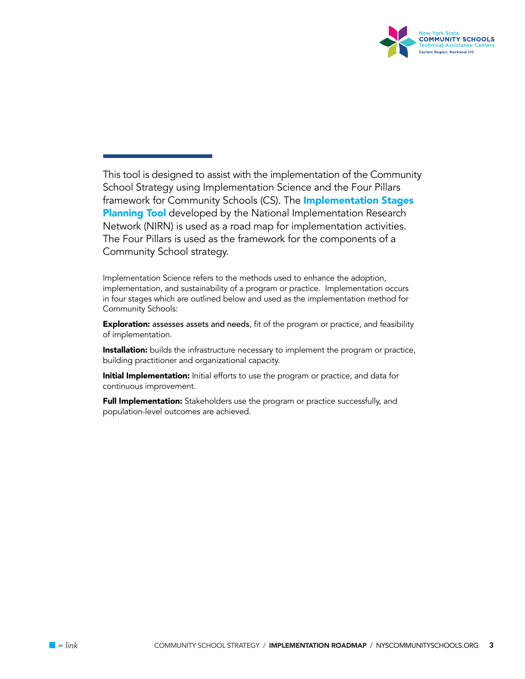

This tool is designed to assist with the implementation of the Community School Strategy using Implementation Science and the Four Pillars framework for Community Schools (CS). The **Implementation Stages [Planning Tool](https://nirn.fpg.unc.edu/sites/nirn.fpg.unc.edu/files/resources/Implementation%20Stages%20Planning%20Tool%20v8%20NIRN%20only%20Fillable.pdf)** developed by the National Implementation Research Network (NIRN) is used as a road map for implementation activities. The Four Pillars is used as the framework for the components of a Community School strategy.

Implementation Science refers to the methods used to enhance the adoption, implementation, and sustainability of a program or practice. Implementation occurs in four stages which are outlined below and used as the implementation method for Community Schools:

**Exploration:** assesses assets and needs, fit of the program or practice, and feasibility of implementation.

**Installation:** builds the infrastructure necessary to implement the program or practice, building practitioner and organizational capacity.

**Initial Implementation:** Initial efforts to use the program or practice, and data for continuous improvement.

Full Implementation: Stakeholders use the program or practice successfully, and population-level outcomes are achieved.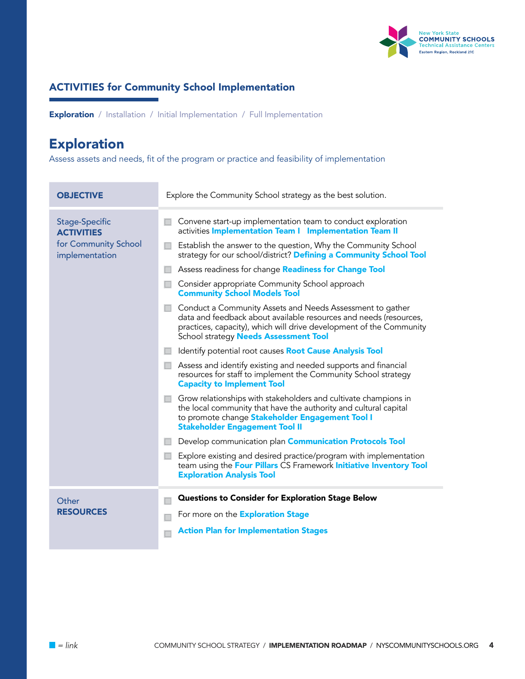

<span id="page-3-0"></span>**Exploration** / Installation / Initial Implementation / Full Implementation

# [Exploration](https://nirn.fpg.unc.edu/module-1/implementation-stages/exploration)

Assess assets and needs, fit of the program or practice and feasibility of implementation

| <b>OBJECTIVE</b>                                                                     | Explore the Community School strategy as the best solution.                                                                                                                                                                                                                                                                                                                                                                                                                                                                                                                                                                                                                                                                                                                                                                                                                                                                                                                                                                                                                                                                                                                                                                                                                                                                                                                                              |  |
|--------------------------------------------------------------------------------------|----------------------------------------------------------------------------------------------------------------------------------------------------------------------------------------------------------------------------------------------------------------------------------------------------------------------------------------------------------------------------------------------------------------------------------------------------------------------------------------------------------------------------------------------------------------------------------------------------------------------------------------------------------------------------------------------------------------------------------------------------------------------------------------------------------------------------------------------------------------------------------------------------------------------------------------------------------------------------------------------------------------------------------------------------------------------------------------------------------------------------------------------------------------------------------------------------------------------------------------------------------------------------------------------------------------------------------------------------------------------------------------------------------|--|
| <b>Stage-Specific</b><br><b>ACTIVITIES</b><br>for Community School<br>implementation | Convene start-up implementation team to conduct exploration<br>activities Implementation Team I Implementation Team II<br>Establish the answer to the question, Why the Community School<br>strategy for our school/district? Defining a Community School Tool<br>Assess readiness for change <b>Readiness for Change Tool</b><br>Consider appropriate Community School approach<br><b>Community School Models Tool</b><br>Conduct a Community Assets and Needs Assessment to gather<br>data and feedback about available resources and needs (resources,<br>practices, capacity), which will drive development of the Community<br>School strategy Needs Assessment Tool<br>Identify potential root causes <b>Root Cause Analysis Tool</b><br>Assess and identify existing and needed supports and financial<br>resources for staff to implement the Community School strategy<br><b>Capacity to Implement Tool</b><br>Grow relationships with stakeholders and cultivate champions in<br>the local community that have the authority and cultural capital<br>to promote change Stakeholder Engagement Tool I<br><b>Stakeholder Engagement Tool II</b><br>Develop communication plan <b>Communication Protocols Tool</b><br>Explore existing and desired practice/program with implementation<br>team using the Four Pillars CS Framework Initiative Inventory Tool<br><b>Exploration Analysis Tool</b> |  |
| Other<br><b>RESOURCES</b>                                                            | Questions to Consider for Exploration Stage Below<br>For more on the <b>Exploration Stage</b><br><b>Action Plan for Implementation Stages</b>                                                                                                                                                                                                                                                                                                                                                                                                                                                                                                                                                                                                                                                                                                                                                                                                                                                                                                                                                                                                                                                                                                                                                                                                                                                            |  |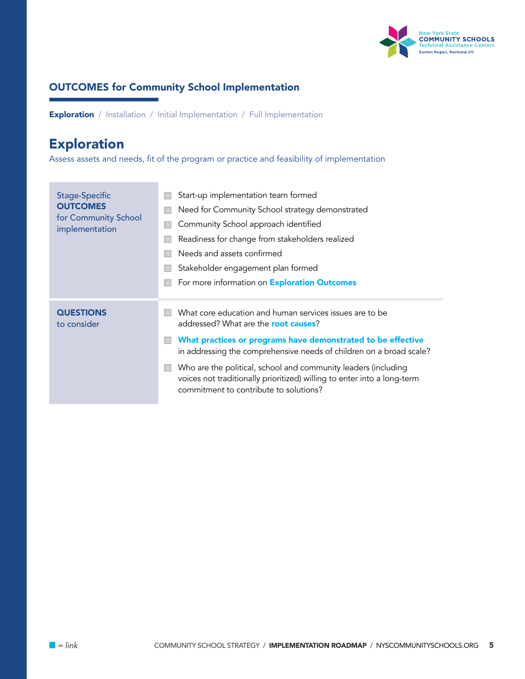

**Exploration** / Installation / Initial Implementation / Full Implementation

# [Exploration](https://nirn.fpg.unc.edu/module-1/implementation-stages/exploration)

Assess assets and needs, fit of the program or practice and feasibility of implementation

| <b>Stage-Specific</b><br><b>OUTCOMES</b><br>for Community School<br>implementation | Start-up implementation team formed<br>Need for Community School strategy demonstrated<br>Community School approach identified<br>Readiness for change from stakeholders realized<br>Needs and assets confirmed                                                                                                                                                                                                                       |
|------------------------------------------------------------------------------------|---------------------------------------------------------------------------------------------------------------------------------------------------------------------------------------------------------------------------------------------------------------------------------------------------------------------------------------------------------------------------------------------------------------------------------------|
|                                                                                    | Stakeholder engagement plan formed<br>For more information on <b>Exploration Outcomes</b>                                                                                                                                                                                                                                                                                                                                             |
| <b>QUESTIONS</b><br>to consider                                                    | What core education and human services issues are to be<br>addressed? What are the <b>root causes</b> ?<br>What practices or programs have demonstrated to be effective<br>in addressing the comprehensive needs of children on a broad scale?<br>Who are the political, school and community leaders (including<br>voices not traditionally prioritized) willing to enter into a long-term<br>commitment to contribute to solutions? |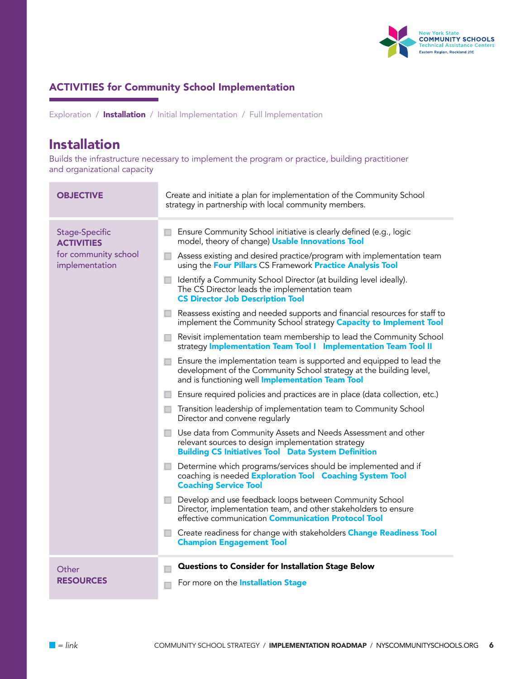

<span id="page-5-0"></span>Exploration / Installation / Initial Implementation / Full Implementation

### [Installation](https://nirn.fpg.unc.edu/module-1/implementation-stages/installation)

Builds the infrastructure necessary to implement the program or practice, building practitioner and organizational capacity

| <b>OBJECTIVE</b>                                                                     | Create and initiate a plan for implementation of the Community School<br>strategy in partnership with local community members.                                                                                                                                                                                                                                                                                                                                                                                                                                                                                                                                                                                                                                                                                                                                                                                                                                                                                                                                                                                                                                                                                                                                                                                                                                                                                                                                                                                                                                 |  |
|--------------------------------------------------------------------------------------|----------------------------------------------------------------------------------------------------------------------------------------------------------------------------------------------------------------------------------------------------------------------------------------------------------------------------------------------------------------------------------------------------------------------------------------------------------------------------------------------------------------------------------------------------------------------------------------------------------------------------------------------------------------------------------------------------------------------------------------------------------------------------------------------------------------------------------------------------------------------------------------------------------------------------------------------------------------------------------------------------------------------------------------------------------------------------------------------------------------------------------------------------------------------------------------------------------------------------------------------------------------------------------------------------------------------------------------------------------------------------------------------------------------------------------------------------------------------------------------------------------------------------------------------------------------|--|
| <b>Stage-Specific</b><br><b>ACTIVITIES</b><br>for community school<br>implementation | Ensure Community School initiative is clearly defined (e.g., logic<br>$\sim$<br>model, theory of change) Usable Innovations Tool<br>Assess existing and desired practice/program with implementation team<br>using the Four Pillars CS Framework Practice Analysis Tool<br>Identify a Community School Director (at building level ideally).<br>$\mathbb{R}^n$<br>The CS Director leads the implementation team<br><b>CS Director Job Description Tool</b><br>$\Box$ Reassess existing and needed supports and financial resources for staff to<br>implement the Community School strategy Capacity to Implement Tool<br>Revisit implementation team membership to lead the Community School<br>ш<br>strategy Implementation Team Tool I Implementation Team Tool II<br>Ensure the implementation team is supported and equipped to lead the<br>$\Box$<br>development of the Community School strategy at the building level,<br>and is functioning well <b>Implementation Team Tool</b><br>Ensure required policies and practices are in place (data collection, etc.)<br>$\Box$<br>Transition leadership of implementation team to Community School<br>$\Box$<br>Director and convene regularly<br>Use data from Community Assets and Needs Assessment and other<br>$\Box$<br>relevant sources to design implementation strategy<br><b>Building CS Initiatives Tool Data System Definition</b><br>Determine which programs/services should be implemented and if<br>coaching is needed Exploration Tool Coaching System Tool<br><b>Coaching Service Tool</b> |  |
|                                                                                      | Develop and use feedback loops between Community School<br>Director, implementation team, and other stakeholders to ensure<br>effective communication <b>Communication Protocol Tool</b><br>Create readiness for change with stakeholders Change Readiness Tool<br><b>Champion Engagement Tool</b>                                                                                                                                                                                                                                                                                                                                                                                                                                                                                                                                                                                                                                                                                                                                                                                                                                                                                                                                                                                                                                                                                                                                                                                                                                                             |  |
|                                                                                      |                                                                                                                                                                                                                                                                                                                                                                                                                                                                                                                                                                                                                                                                                                                                                                                                                                                                                                                                                                                                                                                                                                                                                                                                                                                                                                                                                                                                                                                                                                                                                                |  |
| Other<br><b>RESOURCES</b>                                                            | <b>Questions to Consider for Installation Stage Below</b><br>For more on the <b>Installation Stage</b>                                                                                                                                                                                                                                                                                                                                                                                                                                                                                                                                                                                                                                                                                                                                                                                                                                                                                                                                                                                                                                                                                                                                                                                                                                                                                                                                                                                                                                                         |  |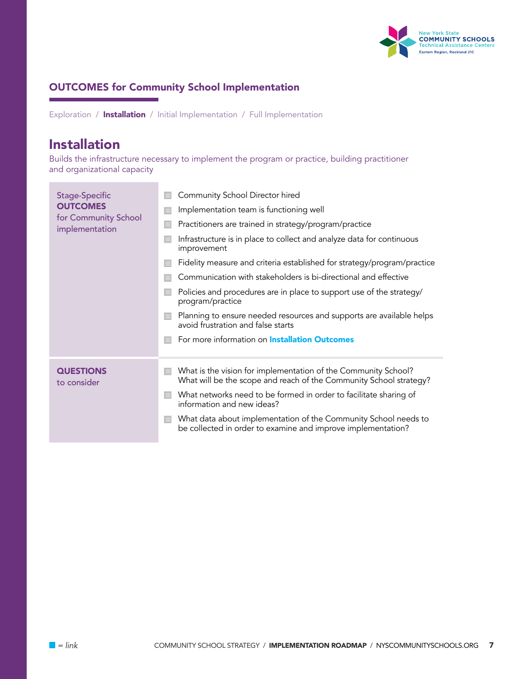

Exploration / Installation / Initial Implementation / Full Implementation

### [Installation](https://nirn.fpg.unc.edu/module-1/implementation-stages/installation)

Builds the infrastructure necessary to implement the program or practice, building practitioner and organizational capacity

| Stage-Specific<br><b>OUTCOMES</b><br>for Community School<br>implementation | Community School Director hired<br>Implementation team is functioning well<br>Practitioners are trained in strategy/program/practice<br>Infrastructure is in place to collect and analyze data for continuous<br>improvement<br>Fidelity measure and criteria established for strategy/program/practice<br>Communication with stakeholders is bi-directional and effective<br>Policies and procedures are in place to support use of the strategy/<br>program/practice<br>Planning to ensure needed resources and supports are available helps<br>avoid frustration and false starts |
|-----------------------------------------------------------------------------|--------------------------------------------------------------------------------------------------------------------------------------------------------------------------------------------------------------------------------------------------------------------------------------------------------------------------------------------------------------------------------------------------------------------------------------------------------------------------------------------------------------------------------------------------------------------------------------|
|                                                                             | For more information on <b>Installation Outcomes</b>                                                                                                                                                                                                                                                                                                                                                                                                                                                                                                                                 |
| <b>QUESTIONS</b><br>to consider                                             | What is the vision for implementation of the Community School?<br>What will be the scope and reach of the Community School strategy?<br>What networks need to be formed in order to facilitate sharing of<br>information and new ideas?<br>What data about implementation of the Community School needs to<br>be collected in order to examine and improve implementation?                                                                                                                                                                                                           |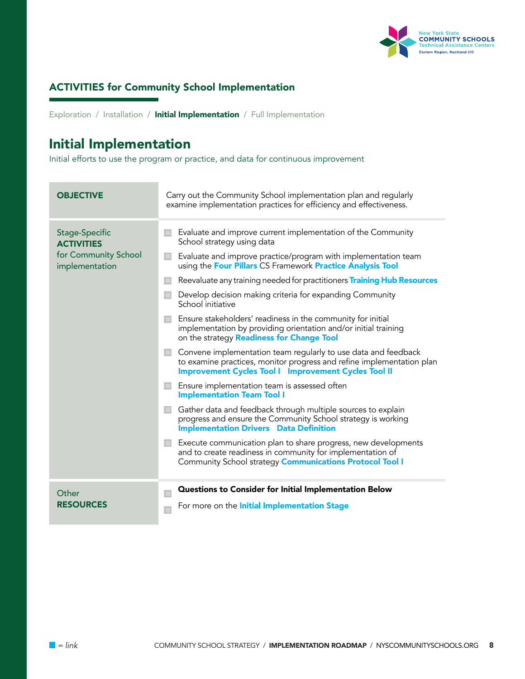

<span id="page-7-0"></span>Exploration / Installation / Initial Implementation / Full Implementation

### [Initial Implementation](https://nirn.fpg.unc.edu/module-1/implementation-stages/initial-implementation)

Initial efforts to use the program or practice, and data for continuous improvement

| <b>OBJECTIVE</b>                                                              | Carry out the Community School implementation plan and regularly<br>examine implementation practices for efficiency and effectiveness.                                                                                                                                                                                                                                                                                                                                                                                                                                                                                                                                                                                                                                                                                                                                                                                                                                                               |  |  |
|-------------------------------------------------------------------------------|------------------------------------------------------------------------------------------------------------------------------------------------------------------------------------------------------------------------------------------------------------------------------------------------------------------------------------------------------------------------------------------------------------------------------------------------------------------------------------------------------------------------------------------------------------------------------------------------------------------------------------------------------------------------------------------------------------------------------------------------------------------------------------------------------------------------------------------------------------------------------------------------------------------------------------------------------------------------------------------------------|--|--|
| Stage-Specific<br><b>ACTIVITIES</b><br>for Community School<br>implementation | Evaluate and improve current implementation of the Community<br>School strategy using data<br>Evaluate and improve practice/program with implementation team<br>using the Four Pillars CS Framework Practice Analysis Tool<br>Reevaluate any training needed for practitioners Training Hub Resources<br>Develop decision making criteria for expanding Community<br>School initiative<br>Ensure stakeholders' readiness in the community for initial<br>implementation by providing orientation and/or initial training<br>on the strategy Readiness for Change Tool<br>Convene implementation team regularly to use data and feedback<br>to examine practices, monitor progress and refine implementation plan<br><b>Improvement Cycles Tool I Improvement Cycles Tool II</b><br>Ensure implementation team is assessed often<br><b>Implementation Team Tool I</b><br>Gather data and feedback through multiple sources to explain<br>progress and ensure the Community School strategy is working |  |  |
|                                                                               | <b>Implementation Drivers</b> Data Definition<br>Execute communication plan to share progress, new developments<br>and to create readiness in community for implementation of<br>Community School strategy <b>Communications Protocol Tool I</b>                                                                                                                                                                                                                                                                                                                                                                                                                                                                                                                                                                                                                                                                                                                                                     |  |  |
| Other<br><b>RESOURCES</b>                                                     | Questions to Consider for Initial Implementation Below<br>For more on the <b>Initial Implementation Stage</b>                                                                                                                                                                                                                                                                                                                                                                                                                                                                                                                                                                                                                                                                                                                                                                                                                                                                                        |  |  |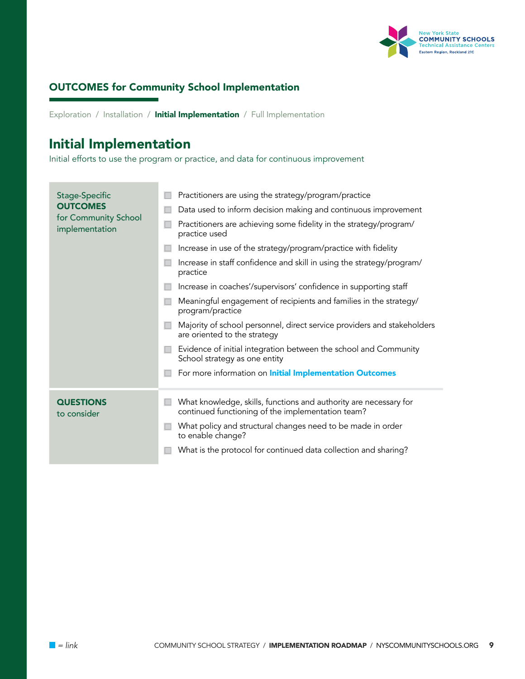

Exploration / Installation / Initial Implementation / Full Implementation

### [Initial Implementation](https://nirn.fpg.unc.edu/module-1/implementation-stages/initial-implementation)

Initial efforts to use the program or practice, and data for continuous improvement

| Stage-Specific<br><b>OUTCOMES</b><br>for Community School<br>implementation | Practitioners are using the strategy/program/practice                                                                  |
|-----------------------------------------------------------------------------|------------------------------------------------------------------------------------------------------------------------|
|                                                                             | Data used to inform decision making and continuous improvement                                                         |
|                                                                             | Practitioners are achieving some fidelity in the strategy/program/<br>practice used                                    |
|                                                                             | Increase in use of the strategy/program/practice with fidelity                                                         |
|                                                                             | Increase in staff confidence and skill in using the strategy/program/<br>practice                                      |
|                                                                             | Increase in coaches'/supervisors' confidence in supporting staff                                                       |
|                                                                             | Meaningful engagement of recipients and families in the strategy/<br>program/practice                                  |
|                                                                             | Majority of school personnel, direct service providers and stakeholders<br>are oriented to the strategy                |
|                                                                             | Evidence of initial integration between the school and Community<br>School strategy as one entity                      |
|                                                                             | For more information on <i>Initial Implementation Outcomes</i>                                                         |
| <b>QUESTIONS</b><br>to consider                                             | What knowledge, skills, functions and authority are necessary for<br>continued functioning of the implementation team? |
|                                                                             | What policy and structural changes need to be made in order<br>to enable change?                                       |
|                                                                             | What is the protocol for continued data collection and sharing?                                                        |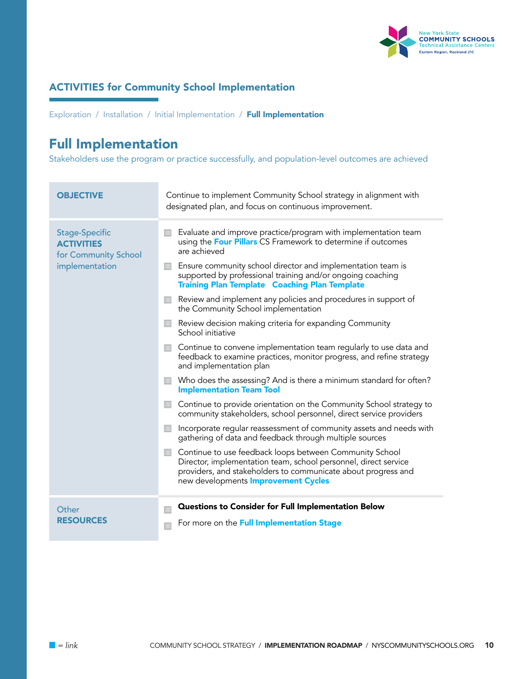

<span id="page-9-0"></span>Exploration / Installation / Initial Implementation / Full Implementation

# [Full Implementation](https://nirn.fpg.unc.edu/module-1/implementation-stages/full-implementation)

Stakeholders use the program or practice successfully, and population-level outcomes are achieved

| <b>OBJECTIVE</b>                                                              | Continue to implement Community School strategy in alignment with<br>designated plan, and focus on continuous improvement.                                                                                                                                                                                                                                                                                                                                                                                                                                                                                                                                                                                                                                                                                                                                                                                                                                                                                                                                                                                                                                                                                                                                                                  |  |
|-------------------------------------------------------------------------------|---------------------------------------------------------------------------------------------------------------------------------------------------------------------------------------------------------------------------------------------------------------------------------------------------------------------------------------------------------------------------------------------------------------------------------------------------------------------------------------------------------------------------------------------------------------------------------------------------------------------------------------------------------------------------------------------------------------------------------------------------------------------------------------------------------------------------------------------------------------------------------------------------------------------------------------------------------------------------------------------------------------------------------------------------------------------------------------------------------------------------------------------------------------------------------------------------------------------------------------------------------------------------------------------|--|
| Stage-Specific<br><b>ACTIVITIES</b><br>for Community School<br>implementation | Evaluate and improve practice/program with implementation team<br>using the Four Pillars CS Framework to determine if outcomes<br>are achieved<br>Ensure community school director and implementation team is<br>supported by professional training and/or ongoing coaching<br><b>Training Plan Template Coaching Plan Template</b><br>Review and implement any policies and procedures in support of<br>the Community School implementation<br>Review decision making criteria for expanding Community<br>School initiative<br>Continue to convene implementation team regularly to use data and<br>feedback to examine practices, monitor progress, and refine strategy<br>and implementation plan<br>Who does the assessing? And is there a minimum standard for often?<br><b>Implementation Team Tool</b><br>Continue to provide orientation on the Community School strategy to<br>community stakeholders, school personnel, direct service providers<br>Incorporate regular reassessment of community assets and needs with<br>gathering of data and feedback through multiple sources<br>Continue to use feedback loops between Community School<br>Director, implementation team, school personnel, direct service<br>providers, and stakeholders to communicate about progress and |  |
|                                                                               | new developments <b>Improvement Cycles</b>                                                                                                                                                                                                                                                                                                                                                                                                                                                                                                                                                                                                                                                                                                                                                                                                                                                                                                                                                                                                                                                                                                                                                                                                                                                  |  |
| Other<br><b>RESOURCES</b>                                                     | Questions to Consider for Full Implementation Below<br>For more on the Full Implementation Stage                                                                                                                                                                                                                                                                                                                                                                                                                                                                                                                                                                                                                                                                                                                                                                                                                                                                                                                                                                                                                                                                                                                                                                                            |  |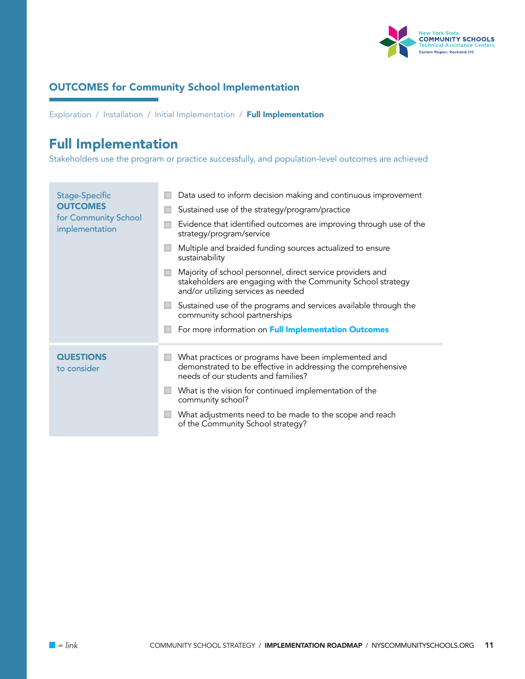

Exploration / Installation / Initial Implementation / Full Implementation

# [Full Implementation](https://nirn.fpg.unc.edu/module-1/implementation-stages/full-implementation)

Stakeholders use the program or practice successfully, and population-level outcomes are achieved

| <b>Stage-Specific</b><br><b>OUTCOMES</b><br>for Community School<br>implementation | Data used to inform decision making and continuous improvement                                                                                                    |
|------------------------------------------------------------------------------------|-------------------------------------------------------------------------------------------------------------------------------------------------------------------|
|                                                                                    | Sustained use of the strategy/program/practice                                                                                                                    |
|                                                                                    | Evidence that identified outcomes are improving through use of the<br>strategy/program/service                                                                    |
|                                                                                    | Multiple and braided funding sources actualized to ensure<br>sustainability                                                                                       |
|                                                                                    | Majority of school personnel, direct service providers and<br>stakeholders are engaging with the Community School strategy<br>and/or utilizing services as needed |
|                                                                                    | Sustained use of the programs and services available through the<br>community school partnerships                                                                 |
|                                                                                    | For more information on Full Implementation Outcomes                                                                                                              |
| <b>QUESTIONS</b><br>to consider                                                    | What practices or programs have been implemented and<br>demonstrated to be effective in addressing the comprehensive<br>needs of our students and families?       |
|                                                                                    | What is the vision for continued implementation of the<br>community school?                                                                                       |
|                                                                                    | What adjustments need to be made to the scope and reach<br>of the Community School strategy?                                                                      |